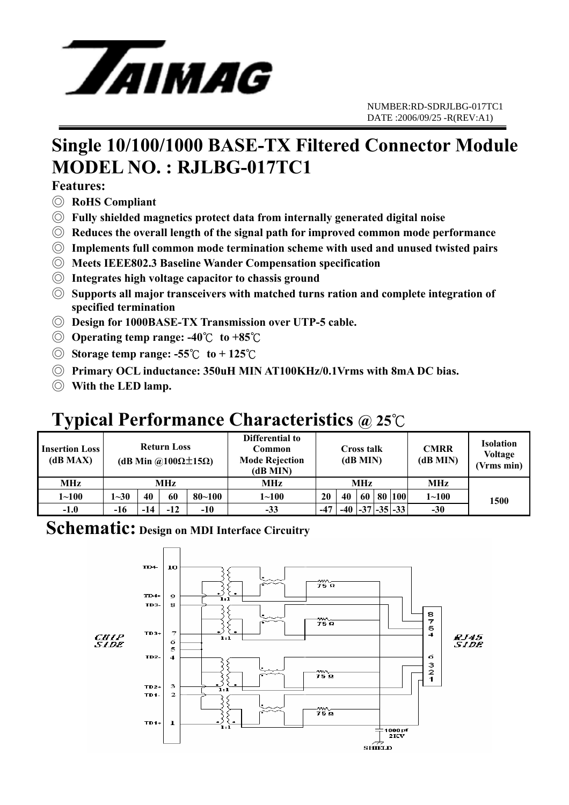

## **Single 10/100/1000 BASE-TX Filtered Connector Module MODEL NO. : RJLBG-017TC1**

### **Features:**

- ◎ **RoHS Compliant**
- ◎ **Fully shielded magnetics protect data from internally generated digital noise**
- ◎ **Reduces the overall length of the signal path for improved common mode performance**
- ◎ **Implements full common mode termination scheme with used and unused twisted pairs**
- ◎ **Meets IEEE802.3 Baseline Wander Compensation specification**
- ◎ **Integrates high voltage capacitor to chassis ground**
- ◎ **Supports all major transceivers with matched turns ration and complete integration of specified termination**
- ◎ **Design for 1000BASE-TX Transmission over UTP-5 cable.**
- ◎ **Operating temp range: -40**℃ **to +85**℃
- ◎ **Storage temp range: -55**℃ **to + 125**℃
- ◎ **Primary OCL inductance: 350uH MIN AT100KHz/0.1Vrms with 8mA DC bias.**
- ◎ **With the LED lamp.**

## **Typical Performance Characteristics @ 25**℃

| <b>Insertion Loss</b><br>(dB MAX) | <b>Return Loss</b><br>(dB Min @100 $\Omega$ ±15 $\Omega$ ) |     |       |            | Differential to<br>Common<br><b>Mode Rejection</b><br>(dB MIN) | Cross talk<br>(dB MIN) |                         |  |  | <b>CMRR</b><br>(dB MIN) | <b>Isolation</b><br><b>Voltage</b><br>(Vrms min) |      |
|-----------------------------------|------------------------------------------------------------|-----|-------|------------|----------------------------------------------------------------|------------------------|-------------------------|--|--|-------------------------|--------------------------------------------------|------|
| <b>MHz</b>                        | MHz                                                        |     |       |            | MHz                                                            | <b>MHz</b>             |                         |  |  |                         | MHz                                              |      |
| $1 - 100$                         | $1 - 30$                                                   | 40  | 60    | $80 - 100$ | $1 - 100$                                                      | 20                     | 40                      |  |  | 60 80 100               | $1 - 100$                                        | 1500 |
| $-1.0$                            | -16                                                        | -14 | $-12$ | $-10$      | $-33$                                                          | $-47$                  | $-40$ $-37$ $-35$ $-33$ |  |  |                         | $-30$                                            |      |

### **Schematic: Design on MDI Interface Circuitry**

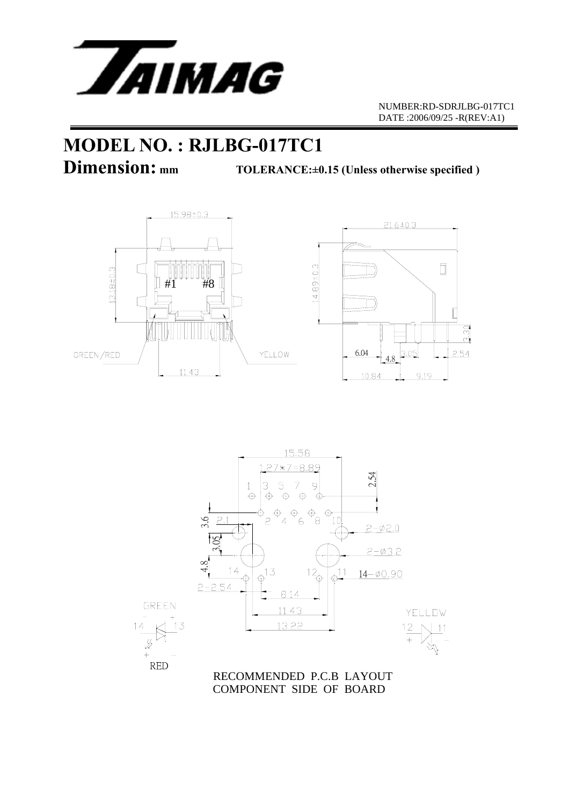

 NUMBER:RD-SDRJLBG-017TC1 DATE :2006/09/25 -R(REV:A1)

## **MODEL NO. : RJLBG-017TC1**

**Dimension:** mm TOLERANCE:±0.15 (Unless otherwise specified )



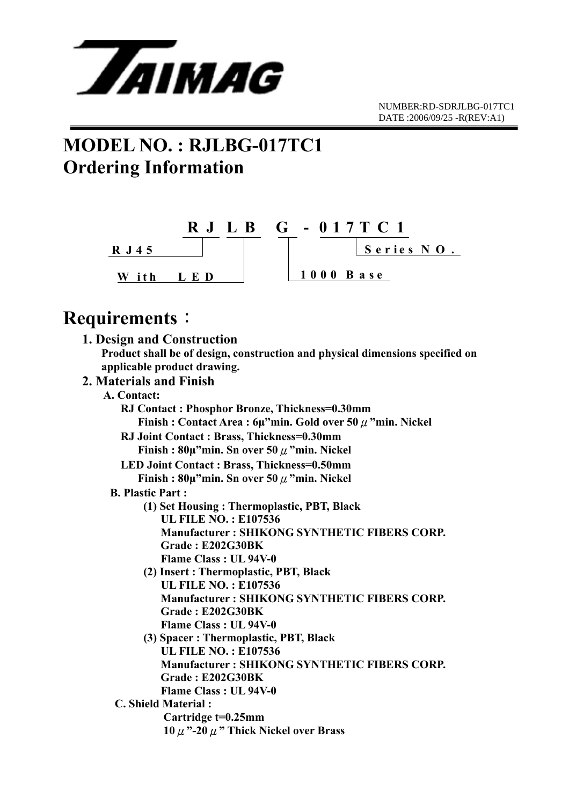

# **MODEL NO. : RJLBG-017TC1 Ordering Information**



## **Requirements**:

| 1. Design and Construction                                                    |
|-------------------------------------------------------------------------------|
| Product shall be of design, construction and physical dimensions specified on |
| applicable product drawing.                                                   |
| 2. Materials and Finish                                                       |
| A. Contact:                                                                   |
| RJ Contact: Phosphor Bronze, Thickness=0.30mm                                 |
| Finish: Contact Area: $6\mu$ "min. Gold over 50 $\mu$ "min. Nickel            |
| RJ Joint Contact: Brass, Thickness=0.30mm                                     |
| Finish: $80\mu$ "min. Sn over 50 $\mu$ "min. Nickel                           |
| <b>LED Joint Contact: Brass, Thickness=0.50mm</b>                             |
| Finish: $80\mu$ "min. Sn over 50 $\mu$ "min. Nickel                           |
| <b>B. Plastic Part:</b>                                                       |
| (1) Set Housing: Thermoplastic, PBT, Black                                    |
| <b>UL FILE NO.: E107536</b>                                                   |
| <b>Manufacturer: SHIKONG SYNTHETIC FIBERS CORP.</b>                           |
| Grade: E202G30BK                                                              |
| <b>Flame Class: UL 94V-0</b>                                                  |
| (2) Insert: Thermoplastic, PBT, Black                                         |
| <b>UL FILE NO.: E107536</b>                                                   |
| <b>Manufacturer: SHIKONG SYNTHETIC FIBERS CORP.</b>                           |
| Grade: E202G30BK                                                              |
| Flame Class: UL 94V-0                                                         |
| (3) Spacer: Thermoplastic, PBT, Black                                         |
| <b>UL FILE NO.: E107536</b>                                                   |
| <b>Manufacturer: SHIKONG SYNTHETIC FIBERS CORP.</b>                           |
| <b>Grade: E202G30BK</b>                                                       |
| Flame Class: UL 94V-0                                                         |
| <b>C. Shield Material:</b>                                                    |
| Cartridge t=0.25mm                                                            |
| 10 $\mu$ "-20 $\mu$ " Thick Nickel over Brass                                 |
|                                                                               |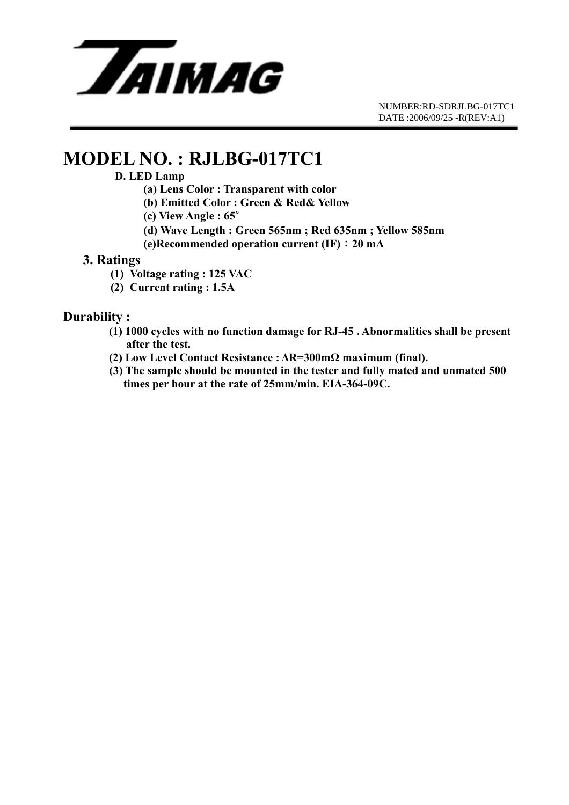

 NUMBER:RD-SDRJLBG-017TC1 DATE :2006/09/25 -R(REV:A1)

### **MODEL NO. : RJLBG-017TC1**

#### **D. LED Lamp**

- **(a) Lens Color : Transparent with color**
- **(b) Emitted Color : Green & Red& Yellow**
- **(c) View Angle : 65**∘
- **(d) Wave Length : Green 565nm ; Red 635nm ; Yellow 585nm**
- **(e)Recommended operation current (IF)**:**20 mA**

### **3. Ratings**

- **(1) Voltage rating : 125 VAC**
- **(2) Current rating : 1.5A**

#### **Durability :**

- **(1) 1000 cycles with no function damage for RJ-45 . Abnormalities shall be present after the test.**
- **(2) Low Level Contact Resistance : ∆R=300mΩ maximum (final).**
- **(3) The sample should be mounted in the tester and fully mated and unmated 500 times per hour at the rate of 25mm/min. EIA-364-09C.**